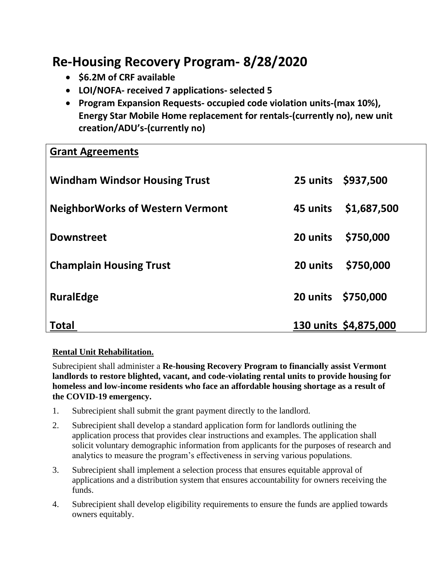## **Re-Housing Recovery Program- 8/28/2020**

- **\$6.2M of CRF available**
- **LOI/NOFA- received 7 applications- selected 5**
- **Program Expansion Requests- occupied code violation units-(max 10%), Energy Star Mobile Home replacement for rentals-(currently no), new unit creation/ADU's-(currently no)**

## **Grant Agreements**

| <b>Windham Windsor Housing Trust</b>    |                    | 25 units \$937,500    |
|-----------------------------------------|--------------------|-----------------------|
| <b>NeighborWorks of Western Vermont</b> | 45 units           | \$1,687,500           |
| <b>Downstreet</b>                       | 20 units           | \$750,000             |
| <b>Champlain Housing Trust</b>          | 20 units           | \$750,000             |
| <b>RuralEdge</b>                        | 20 units \$750,000 |                       |
| Total                                   |                    | 130 units \$4,875,000 |

## **Rental Unit Rehabilitation.**

Subrecipient shall administer a **Re-housing Recovery Program to financially assist Vermont landlords to restore blighted, vacant, and code-violating rental units to provide housing for homeless and low-income residents who face an affordable housing shortage as a result of the COVID-19 emergency.** 

- 1. Subrecipient shall submit the grant payment directly to the landlord.
- 2. Subrecipient shall develop a standard application form for landlords outlining the application process that provides clear instructions and examples. The application shall solicit voluntary demographic information from applicants for the purposes of research and analytics to measure the program's effectiveness in serving various populations.
- 3. Subrecipient shall implement a selection process that ensures equitable approval of applications and a distribution system that ensures accountability for owners receiving the funds.
- 4. Subrecipient shall develop eligibility requirements to ensure the funds are applied towards owners equitably.